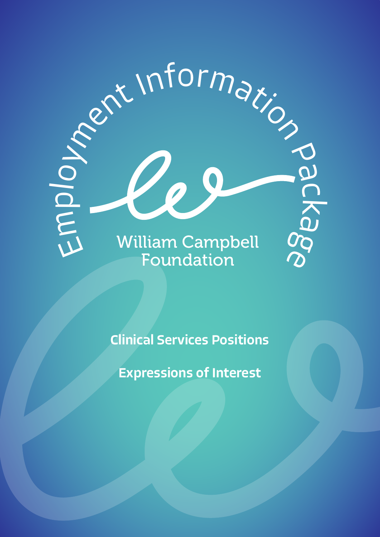

Clinical Services Positions

Expressions of Interest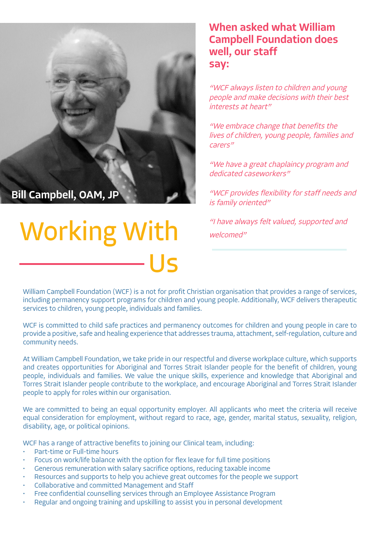#### When asked what William Campbell Foundation does well, our staff say:

"WCF always listen to children and young people and make decisions with their best interests at heart"

"We embrace change that benefits the lives of children, young people, families and carers"

"We have a great chaplaincy program and dedicated caseworkers"

"WCF provides flexibility for staff needs and is family oriented"

"I have always felt valued, supported and welcomed"

William Campbell Foundation (WCF) is a not for profit Christian organisation that provides a range of services, including permanency support programs for children and young people. Additionally, WCF delivers therapeutic services to children, young people, individuals and families.

Us

WCF is committed to child safe practices and permanency outcomes for children and young people in care to provide a positive, safe and healing experience that addresses trauma, attachment, self-regulation, culture and community needs.

At William Campbell Foundation, we take pride in our respectful and diverse workplace culture, which supports and creates opportunities for Aboriginal and Torres Strait Islander people for the benefit of children, young people, individuals and families. We value the unique skills, experience and knowledge that Aboriginal and Torres Strait Islander people contribute to the workplace, and encourage Aboriginal and Torres Strait Islander people to apply for roles within our organisation.

We are committed to being an equal opportunity employer. All applicants who meet the criteria will receive equal consideration for employment, without regard to race, age, gender, marital status, sexuality, religion, disability, age, or political opinions.

WCF has a range of attractive benefits to joining our Clinical team, including:

- Part-time or Full-time hours
- Focus on work/life balance with the option for flex leave for full time positions
- Generous remuneration with salary sacrifice options, reducing taxable income
- Resources and supports to help you achieve great outcomes for the people we support
- Collaborative and committed Management and Staff

Working With

Bill Campbell, OAM, JP

- Free confidential counselling services through an Employee Assistance Program
- Regular and ongoing training and upskilling to assist you in personal development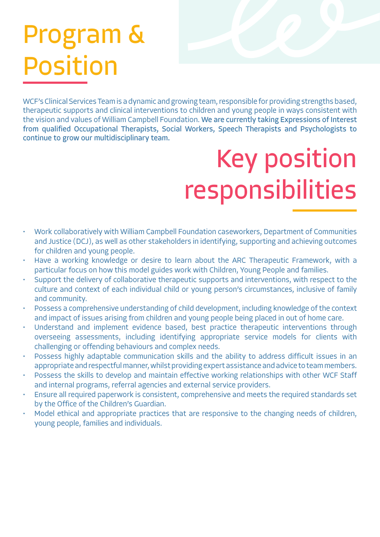# Program & Position

WCF's Clinical Services Team is a dynamic and growing team, responsible for providing strengths based, therapeutic supports and clinical interventions to children and young people in ways consistent with the vision and values of William Campbell Foundation. We are currently taking Expressions of Interest from qualified Occupational Therapists, Social Workers, Speech Therapists and Psychologists to continue to grow our multidisciplinary team.

# Key position responsibilities

- Work collaboratively with William Campbell Foundation caseworkers, Department of Communities and Justice (DCJ), as well as other stakeholders in identifying, supporting and achieving outcomes for children and young people.
- Have a working knowledge or desire to learn about the ARC Therapeutic Framework, with a particular focus on how this model guides work with Children, Young People and families.
- Support the delivery of collaborative therapeutic supports and interventions, with respect to the culture and context of each individual child or young person's circumstances, inclusive of family and community.
- Possess a comprehensive understanding of child development, including knowledge of the context and impact of issues arising from children and young people being placed in out of home care.
- Understand and implement evidence based, best practice therapeutic interventions through overseeing assessments, including identifying appropriate service models for clients with challenging or offending behaviours and complex needs.
- Possess highly adaptable communication skills and the ability to address difficult issues in an appropriate and respectful manner, whilst providing expert assistance and advice to team members.
- Possess the skills to develop and maintain effective working relationships with other WCF Staff and internal programs, referral agencies and external service providers.
- Ensure all required paperwork is consistent, comprehensive and meets the required standards set by the Office of the Children's Guardian.
- Model ethical and appropriate practices that are responsive to the changing needs of children, young people, families and individuals.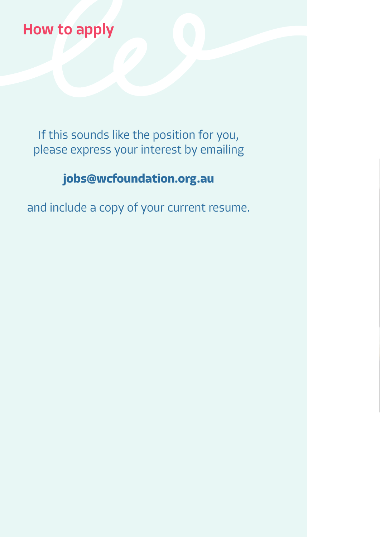## How to apply

If this sounds like the position for you, please express your interest by emailing

### **jobs@wcfoundation.org.au**

and include a copy of your current resume.